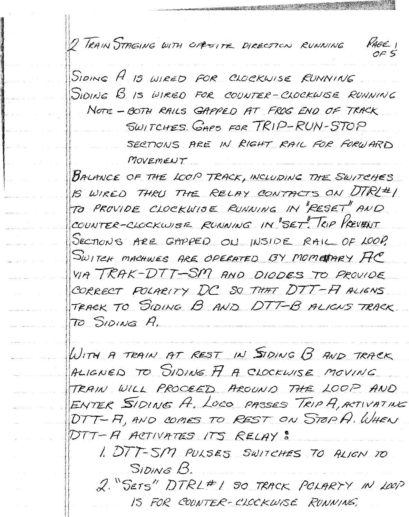2 TRAIN STAGING WITH OPPESITE DIRECTION RUNNING



 $P_{ABC}$ 

SWITCHES GAPS FOR TRIP-RUN-STOP

SECTIONS ARE IN RIGHT RAIL FOR FORWARD MOVEMENT

BALMNCE OF THE LOOP TRACK, INCLUDING THE SWITCHES IS WIRED THRU THE RELAY CONTACTS ON DTRL#1 TO PROVIDE CLOCKWISE RUNNING IN "RESET" AND COUNTER-CLOCKWISE RUNNING IN SET. TRIP PREVENT SECTIONS ARE GAPPED ON INSIDE RAIL OF LOOP. SWITCH MACHINES ARE OPERATED BY MOMETARY FC VIA TRAK-DTT-SM AND DIODES TO PROVIDE CORRECT POLARITY DC SO THAT DTT-FI ALIGNS TRACK TO SIDING B AND DTT-B ALIGNS TRACK TO SIDING A.

WITH A TRAIN AT REST IN SIDING B AND TRACK ALIGNED TO SIDING A A CLOCKWISE MOVING TRAIN WILL PROCEED AROUND THE LOOP AND ENTER SIDING A. LOCO PASSES TRIP A, ACTIVATING DTT-A, AND COMES TO REST ON STOPA. WHEN DTT-A ACTIVATES ITS RELAY :

1. DTT-SM PULSES SWITCHES TO ALIGN TO SIDING B.

2. "SETS" DTRL#1 SO TRACK POLARYY IN LOOP IS FOR COUNTER-CLOCKWISE RUNNING,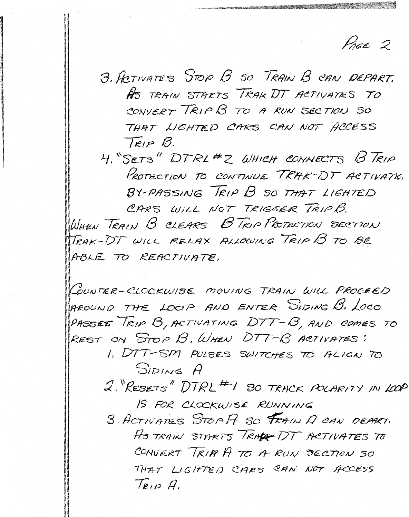PAGE 2

3. ACTIVATES STOP B SO TRAIN B CAN DEPART. HS TRAIN STARTS TRAK DT ACTIVATES TO CONVERT TRIP B TO A RUN SECTION SO THAT LIGHTED CARS CAN NOT ACCESS  $T_{RIP}$   $B$ .

4. "SETS" DTRL#2 WHICH CONNECTS B TRIP PROTECTION TO CONTINUE TRAK-DT ACTIVATIO. BY-PASSING TRIP B SO THAT LIGHTED

CARS WILL NOT TRIGGER TRIPB. WHEN TRAIN B CLEARS B TRIP PROTECTION SECTION TRAK-DT WILL RELAX ALLOWING TRIP B TO BE ABLE TO REACTIVATE.

COUNTER-CLOCKWISE MOVING TRAIN WILL PROCEED AROUND THE LOOP AND ENTER SIDING B. LOCO PASSES TRIP B, ACTIVATING DTT-B, AND COMES TO REST ON STOP B. WHEN DTT-B ACTIVATES:

> 1. DTT-SM PULSES SWITCHES TO ALIGN TO SIDING A

2. RESETS" DTRL # 1 SO TRACK POLARITY IN LOOP IS FOR CLOCKWISE RUNNING

3 ACTIVATES STOP F SO FRAIN A CAN DEPART. ASTRAIN STARTS TRACE DT ACTIVATES TO CONVERT TRIP A TO A RUN SECTION SO THAT LIGHTED CARS CAN NOT ACCESS  $T_{RIP}$  A.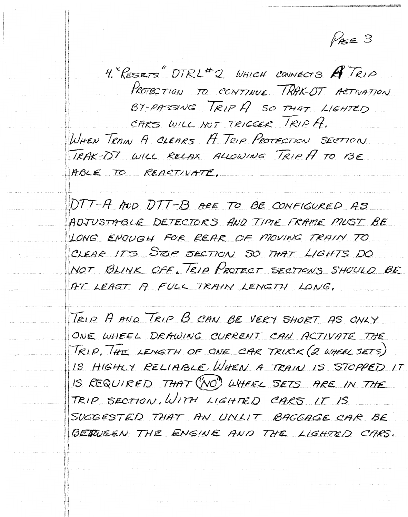PASE 3

4. RESETS DTRL#2 WHICH CONNECTS ATRIP PROTECTION TO CONTINUE TRAK-OT ACTIVATION BY-PASSING TRIP A SO THAT LIGHTED CARS WILL NOT TRIGGER TRIP A. WHEN TRAIN A CLEARS A TRIP PROTECTION SECTION TRAK-DT WILL RELAX ALLOWING TRIP A TO BE ABLE TO REACTIVATE.

DTT-A AND DTT-B ARE TO BE CONFIGURED AS ADJUSTABLE DETECTORS AND TIME FRAME MUST BE LONG ENOUGH FOR REAR OF MOVING TRAIN TO CLEAR ITS STOP SECTION SO THAT LIGHTS DO NOT BLINK OFF, TRIP PROTECT SECTIONS SHOULD BE AT LEAST A FULL TRAIN LENGTH LONG.

TRIP A AND TRIP B CAN BE VERY SHORT AS ONLY ONE WHEEL DRAWING CURRENT CAN ACTIVATE THE TRIP, THE LENGTH OF ONE CAR TRUCK (2 WHEEL SETS) IS HIGHLY RELIABLE. WHEN A TRAIN IS STOPPED IT IS REQUIRED THAT (NO) WHEEL SETS ARE IN THE TRIP SECTION, WITH LIGHTED CARS IT IS SUGGESTED THAT AN UNLIT BAGGAGE CAR BE BETWEEN THE ENGINE AND THE LIGHTED CARS.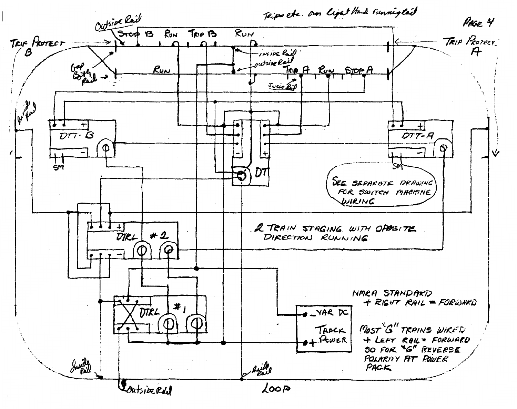